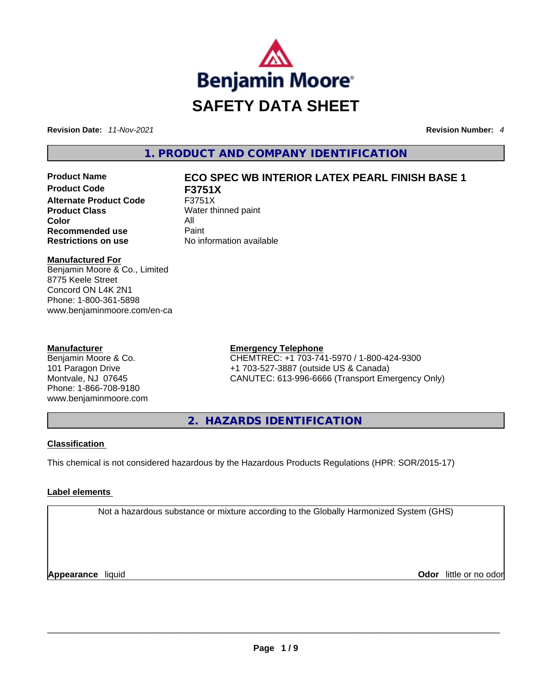

**Revision Date:** *11-Nov-2021* **Revision Number:** *4*

**1. PRODUCT AND COMPANY IDENTIFICATION** 

**Product Code F3751X Alternate Product Code** F3751X **Product Class** Water thinned paint **Color** All **Recommended use Paint Restrictions on use** No information available

# **Product Name ECO SPEC WB INTERIOR LATEX PEARL FINISH BASE 1**

# **Manufactured For**

Benjamin Moore & Co., Limited 8775 Keele Street Concord ON L4K 2N1 Phone: 1-800-361-5898 www.benjaminmoore.com/en-ca

## **Manufacturer**

Benjamin Moore & Co. 101 Paragon Drive Montvale, NJ 07645 Phone: 1-866-708-9180 www.benjaminmoore.com

# **Emergency Telephone**

CHEMTREC: +1 703-741-5970 / 1-800-424-9300 +1 703-527-3887 (outside US & Canada) CANUTEC: 613-996-6666 (Transport Emergency Only)

**2. HAZARDS IDENTIFICATION** 

# **Classification**

This chemical is not considered hazardous by the Hazardous Products Regulations (HPR: SOR/2015-17)

# **Label elements**

Not a hazardous substance or mixture according to the Globally Harmonized System (GHS)

**Appearance** liquid **Odor** little or no odor \_\_\_\_\_\_\_\_\_\_\_\_\_\_\_\_\_\_\_\_\_\_\_\_\_\_\_\_\_\_\_\_\_\_\_\_\_\_\_\_\_\_\_\_\_\_\_\_\_\_\_\_\_\_\_\_\_\_\_\_\_\_\_\_\_\_\_\_\_\_\_\_\_\_\_\_\_\_\_\_\_\_\_\_\_\_\_\_\_\_\_\_\_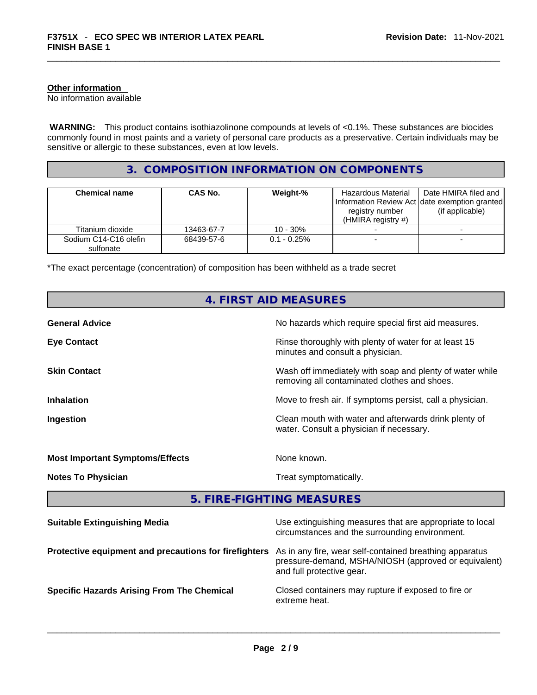## **Other information**

No information available

 **WARNING:** This product contains isothiazolinone compounds at levels of <0.1%. These substances are biocides commonly found in most paints and a variety of personal care products as a preservative. Certain individuals may be sensitive or allergic to these substances, even at low levels.

# **3. COMPOSITION INFORMATION ON COMPONENTS**

| <b>Chemical name</b>               | CAS No.    | Weight-%       | Hazardous Material<br>registry number<br>(HMIRA registry $#$ ) | Date HMIRA filed and<br>Information Review Act Idate exemption granted<br>(if applicable) |
|------------------------------------|------------|----------------|----------------------------------------------------------------|-------------------------------------------------------------------------------------------|
| Titanium dioxide                   | 13463-67-7 | $10 - 30%$     |                                                                |                                                                                           |
| Sodium C14-C16 olefin<br>sulfonate | 68439-57-6 | $0.1 - 0.25\%$ |                                                                |                                                                                           |

\*The exact percentage (concentration) of composition has been withheld as a trade secret

|                                                       | 4. FIRST AID MEASURES                                                                                                                        |  |
|-------------------------------------------------------|----------------------------------------------------------------------------------------------------------------------------------------------|--|
| <b>General Advice</b>                                 | No hazards which require special first aid measures.                                                                                         |  |
| <b>Eye Contact</b>                                    | Rinse thoroughly with plenty of water for at least 15<br>minutes and consult a physician.                                                    |  |
| <b>Skin Contact</b>                                   | Wash off immediately with soap and plenty of water while<br>removing all contaminated clothes and shoes.                                     |  |
| <b>Inhalation</b>                                     | Move to fresh air. If symptoms persist, call a physician.                                                                                    |  |
| Ingestion                                             | Clean mouth with water and afterwards drink plenty of<br>water. Consult a physician if necessary.                                            |  |
| <b>Most Important Symptoms/Effects</b>                | None known.                                                                                                                                  |  |
| <b>Notes To Physician</b>                             | Treat symptomatically.                                                                                                                       |  |
|                                                       | 5. FIRE-FIGHTING MEASURES                                                                                                                    |  |
| <b>Suitable Extinguishing Media</b>                   | Use extinguishing measures that are appropriate to local<br>circumstances and the surrounding environment.                                   |  |
| Protective equipment and precautions for firefighters | As in any fire, wear self-contained breathing apparatus<br>pressure-demand, MSHA/NIOSH (approved or equivalent)<br>and full protective gear. |  |
| <b>Specific Hazards Arising From The Chemical</b>     | Closed containers may rupture if exposed to fire or<br>extreme heat.                                                                         |  |
|                                                       |                                                                                                                                              |  |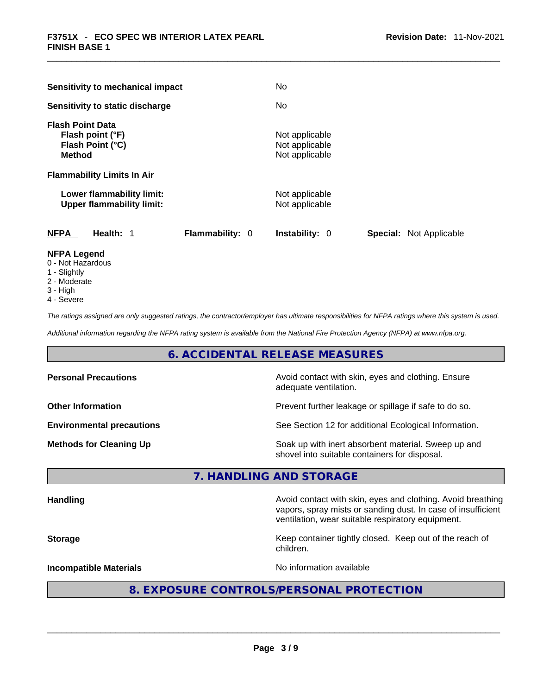| Sensitivity to mechanical impact                                                                   |                        | <b>No</b>                                          |                                |
|----------------------------------------------------------------------------------------------------|------------------------|----------------------------------------------------|--------------------------------|
| Sensitivity to static discharge                                                                    |                        | No.                                                |                                |
| <b>Flash Point Data</b><br>Flash point (°F)<br>Flash Point (°C)<br><b>Method</b>                   |                        | Not applicable<br>Not applicable<br>Not applicable |                                |
| <b>Flammability Limits In Air</b><br>Lower flammability limit:<br><b>Upper flammability limit:</b> |                        | Not applicable<br>Not applicable                   |                                |
| <b>NFPA</b><br>Health: 1                                                                           | <b>Flammability: 0</b> | <b>Instability: 0</b>                              | <b>Special:</b> Not Applicable |

# **NFPA Legend**

- 0 Not Hazardous
- 1 Slightly
- 2 Moderate
- 3 High
- 4 Severe

*The ratings assigned are only suggested ratings, the contractor/employer has ultimate responsibilities for NFPA ratings where this system is used.* 

*Additional information regarding the NFPA rating system is available from the National Fire Protection Agency (NFPA) at www.nfpa.org.* 

# **6. ACCIDENTAL RELEASE MEASURES**

| <b>Personal Precautions</b>      | Avoid contact with skin, eyes and clothing. Ensure<br>adequate ventilation.                          |
|----------------------------------|------------------------------------------------------------------------------------------------------|
| <b>Other Information</b>         | Prevent further leakage or spillage if safe to do so.                                                |
| <b>Environmental precautions</b> | See Section 12 for additional Ecological Information.                                                |
| <b>Methods for Cleaning Up</b>   | Soak up with inert absorbent material. Sweep up and<br>shovel into suitable containers for disposal. |

# **7. HANDLING AND STORAGE**

| <b>Handling</b>               | Avoid contact with skin, eyes and clothing. Avoid breathing<br>vapors, spray mists or sanding dust. In case of insufficient<br>ventilation, wear suitable respiratory equipment. |  |  |
|-------------------------------|----------------------------------------------------------------------------------------------------------------------------------------------------------------------------------|--|--|
| <b>Storage</b>                | Keep container tightly closed. Keep out of the reach of<br>children.                                                                                                             |  |  |
| <b>Incompatible Materials</b> | No information available                                                                                                                                                         |  |  |
|                               | 8. EXPOSURE CONTROLS/PERSONAL PROTECTION                                                                                                                                         |  |  |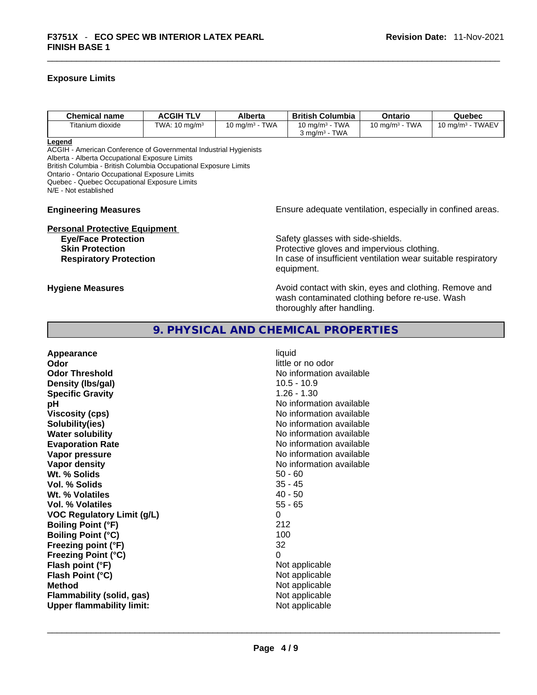## **Exposure Limits**

| <b>Chemical name</b> | <b>ACGIH TLV</b>         | Alberta                    | <b>British Columbia</b>                                | Ontario                                         | Quebec                                 |
|----------------------|--------------------------|----------------------------|--------------------------------------------------------|-------------------------------------------------|----------------------------------------|
| Titanium dioxide     | TWA: $10 \text{ mg/m}^3$ | 10 ma/m <sup>3</sup> - TWA | 10 mg/m $3$ - TWA<br>TWA<br>$3 \text{ ma/m}^3$ $^{-1}$ | <b>TWA</b><br>10 mg/m <sup>3</sup> - $\sqrt{ }$ | <b>TWAEV</b><br>10 mg/m <sup>3</sup> - |

**Legend**

ACGIH - American Conference of Governmental Industrial Hygienists Alberta - Alberta Occupational Exposure Limits

British Columbia - British Columbia Occupational Exposure Limits

Ontario - Ontario Occupational Exposure Limits

Quebec - Quebec Occupational Exposure Limits

N/E - Not established

# **Personal Protective Equipment**

# **Engineering Measures Ensure** Ensure adequate ventilation, especially in confined areas.

**Eye/Face Protection Safety glasses with side-shields. Skin Protection Protection Protective gloves and impervious clothing. Respiratory Protection In case of insufficient ventilation wear suitable respiratory** equipment.

**Hygiene Measures Avoid contact with skin, eyes and clothing. Remove and Avoid contact with skin, eyes and clothing. Remove and Avoid contact with skin, eyes and clothing. Remove and** wash contaminated clothing before re-use. Wash thoroughly after handling.

# **9. PHYSICAL AND CHEMICAL PROPERTIES**

**Appearance** liquid **Odor** little or no odor **Odor Threshold No information available Density (Ibs/gal)** 10.5 - 10.9<br> **Specific Gravity** 1.26 - 1.30 **Specific Gravity pH bH 1 Viscosity (cps) Viscosity (cps) No information available Solubility(ies)** No information available **Water solubility**  No information available **Evaporation Rate No information available No information available Vapor pressure No information available Vapor density No information available No** information available **Wt. % Solids** 50 - 60 **Vol. % Solids** 35 - 45 **Wt. % Volatiles** 40 - 50 **Vol. % Volatiles** 55 - 65 **VOC Regulatory Limit (g/L)** 0 **Boiling Point (°F)** 212 **Boiling Point (°C)** 100<br> **Preezing point (°F)** 100<br>
22 **Freezing point (°F) Freezing Point (°C)** 0 **Flash point (°F)**<br> **Flash Point (°C)**<br> **Flash Point (°C)**<br> **C Flash Point (°C) Method** Not applicable **Flammability (solid, gas)** Not applicable<br> **Upper flammability limit:** Not applicable **Upper flammability limit:** Not applicable \_\_\_\_\_\_\_\_\_\_\_\_\_\_\_\_\_\_\_\_\_\_\_\_\_\_\_\_\_\_\_\_\_\_\_\_\_\_\_\_\_\_\_\_\_\_\_\_\_\_\_\_\_\_\_\_\_\_\_\_\_\_\_\_\_\_\_\_\_\_\_\_\_\_\_\_\_\_\_\_\_\_\_\_\_\_\_\_\_\_\_\_\_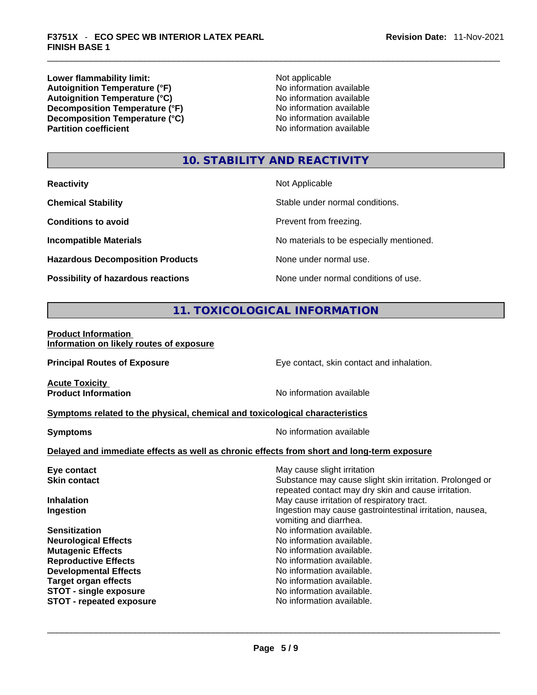**Lower flammability limit:**<br> **Autoignition Temperature (°F)**<br>
Mo information available **Autoignition Temperature (°F)**<br> **Autoignition Temperature (°C)** No information available **Autoignition Temperature (°C)**<br> **Decomposition Temperature (°F)** No information available **Decomposition Temperature (°F) Decomposition Temperature (°C)**<br> **Partition coefficient**<br> **Partition coefficient**<br> **No** information available

**No information available** 

# **10. STABILITY AND REACTIVITY**

| <b>Reactivity</b>                         | Not Applicable                           |
|-------------------------------------------|------------------------------------------|
| <b>Chemical Stability</b>                 | Stable under normal conditions.          |
| <b>Conditions to avoid</b>                | Prevent from freezing.                   |
| <b>Incompatible Materials</b>             | No materials to be especially mentioned. |
| <b>Hazardous Decomposition Products</b>   | None under normal use.                   |
| <b>Possibility of hazardous reactions</b> | None under normal conditions of use.     |

# **11. TOXICOLOGICAL INFORMATION**

## **Product Information Information on likely routes of exposure**

**Principal Routes of Exposure Exposure** Eye contact, skin contact and inhalation.

**Acute Toxicity<br>Product Information** 

**No information available** 

# **<u>Symptoms related to the physical, chemical and toxicological characteristics</u>**

**Symptoms Symptoms No information available** 

# **Delayed and immediate effects as well as chronic effects from short and long-term exposure**

| Eye contact                   | May cause slight irritation                                                                                     |
|-------------------------------|-----------------------------------------------------------------------------------------------------------------|
| <b>Skin contact</b>           | Substance may cause slight skin irritation. Prolonged or<br>repeated contact may dry skin and cause irritation. |
| <b>Inhalation</b>             | May cause irritation of respiratory tract.                                                                      |
| Ingestion                     | Ingestion may cause gastrointestinal irritation, nausea,<br>vomiting and diarrhea.                              |
| <b>Sensitization</b>          | No information available.                                                                                       |
| <b>Neurological Effects</b>   | No information available.                                                                                       |
| <b>Mutagenic Effects</b>      | No information available.                                                                                       |
| <b>Reproductive Effects</b>   | No information available.                                                                                       |
| <b>Developmental Effects</b>  | No information available.                                                                                       |
| <b>Target organ effects</b>   | No information available.                                                                                       |
| <b>STOT - single exposure</b> | No information available.                                                                                       |
| STOT - repeated exposure      | No information available.                                                                                       |
|                               |                                                                                                                 |
|                               |                                                                                                                 |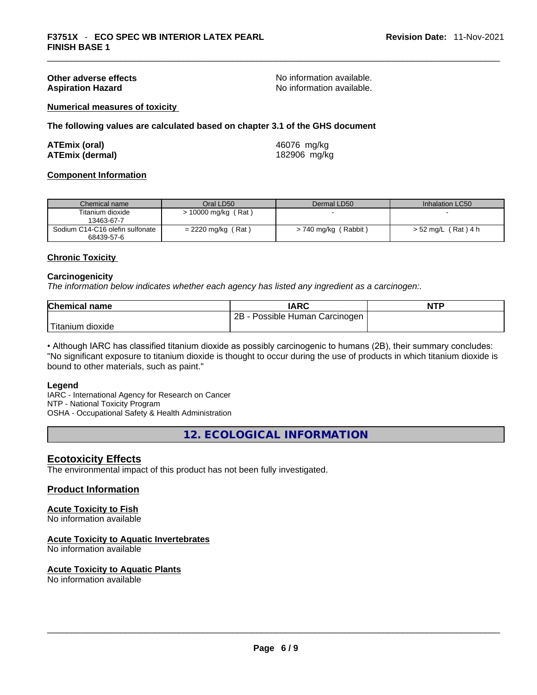**Other adverse effects No information available.** No information available. Aspiration Hazard **Aspiration Hazard No information available.** 

## **Numerical measures of toxicity**

**The following values are calculated based on chapter 3.1 of the GHS document**

| ATEmix (oral)   | 46076 mg/kg  |
|-----------------|--------------|
| ATEmix (dermal) | 182906 mg/kg |

#### **Component Information**

| Chemical name                   | Oral LD50            | Dermal LD50            | Inhalation LC50     |
|---------------------------------|----------------------|------------------------|---------------------|
| Titanium dioxide                | > 10000 mg/kg (Rat)  |                        |                     |
| 13463-67-7                      |                      |                        |                     |
| Sodium C14-C16 olefin sulfonate | $= 2220$ mg/kg (Rat) | $> 740$ mg/kg (Rabbit) | > 52 mg/L (Rat) 4 h |
| 68439-57-6                      |                      |                        |                     |

## **Chronic Toxicity**

#### **Carcinogenicity**

*The information below indicates whether each agency has listed any ingredient as a carcinogen:.* 

| <b>Chemical name</b>          | <b>IARC</b>                         | <b>NTP</b> |
|-------------------------------|-------------------------------------|------------|
|                               | $2B -$<br>Possible Human Carcinogen |            |
| <sup>I</sup> Titanium dioxide |                                     |            |

• Although IARC has classified titanium dioxide as possibly carcinogenic to humans (2B), their summary concludes: "No significant exposure to titanium dioxide is thought to occur during the use of products in which titanium dioxide is bound to other materials, such as paint."

#### **Legend**

IARC - International Agency for Research on Cancer NTP - National Toxicity Program OSHA - Occupational Safety & Health Administration

**12. ECOLOGICAL INFORMATION** 

# **Ecotoxicity Effects**

The environmental impact of this product has not been fully investigated.

# **Product Information**

#### **Acute Toxicity to Fish** No information available

# **Acute Toxicity to Aquatic Invertebrates**

No information available

**Acute Toxicity to Aquatic Plants**

No information available<br>  $\blacksquare$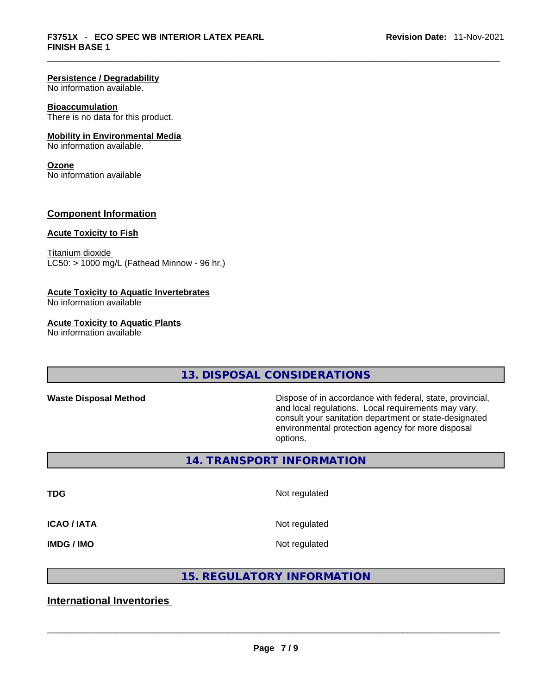# **Persistence / Degradability**

No information available.

#### **Bioaccumulation**

There is no data for this product.

# **Mobility in Environmental Media**

No information available.

#### **Ozone**

No information available

# **Component Information**

# **Acute Toxicity to Fish**

Titanium dioxide  $LC50:$  > 1000 mg/L (Fathead Minnow - 96 hr.)

## **Acute Toxicity to Aquatic Invertebrates**

No information available

#### **Acute Toxicity to Aquatic Plants**

No information available

**13. DISPOSAL CONSIDERATIONS** 

**Waste Disposal Method** Dispose of in accordance with federal, state, provincial, and local regulations. Local requirements may vary, consult your sanitation department or state-designated environmental protection agency for more disposal options.

**14. TRANSPORT INFORMATION** 

**TDG** Not regulated

**ICAO / IATA** Not regulated

**IMDG / IMO** Not regulated

# **15. REGULATORY INFORMATION**

# **International Inventories**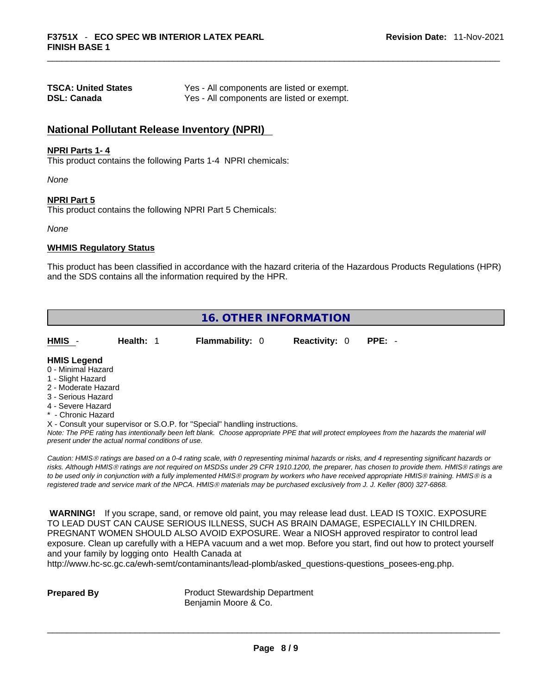| <b>TSCA: United States</b> | Yes - All components are listed or exempt. |
|----------------------------|--------------------------------------------|
| <b>DSL: Canada</b>         | Yes - All components are listed or exempt. |

# **National Pollutant Release Inventory (NPRI)**

## **NPRI Parts 1- 4**

This product contains the following Parts 1-4 NPRI chemicals:

*None*

**NPRI Part 5**

This product contains the following NPRI Part 5 Chemicals:

*None*

### **WHMIS Regulatory Status**

This product has been classified in accordance with the hazard criteria of the Hazardous Products Regulations (HPR) and the SDS contains all the information required by the HPR.

| <b>16. OTHER INFORMATION</b>                                  |                                                    |                                                                                                                               |                      |                                                                                                                                                                                                                                                                                                                                                                                                                                             |  |
|---------------------------------------------------------------|----------------------------------------------------|-------------------------------------------------------------------------------------------------------------------------------|----------------------|---------------------------------------------------------------------------------------------------------------------------------------------------------------------------------------------------------------------------------------------------------------------------------------------------------------------------------------------------------------------------------------------------------------------------------------------|--|
| HMIS -                                                        | Health: 1                                          | Flammability: 0                                                                                                               | <b>Reactivity: 0</b> | PPE: -                                                                                                                                                                                                                                                                                                                                                                                                                                      |  |
| <b>HMIS Legend</b><br>0 - Minimal Hazard<br>1 - Slight Hazard |                                                    |                                                                                                                               |                      |                                                                                                                                                                                                                                                                                                                                                                                                                                             |  |
| 2 - Moderate Hazard                                           |                                                    |                                                                                                                               |                      |                                                                                                                                                                                                                                                                                                                                                                                                                                             |  |
| 3 - Serious Hazard                                            |                                                    |                                                                                                                               |                      |                                                                                                                                                                                                                                                                                                                                                                                                                                             |  |
| 4 - Severe Hazard<br>* - Chronic Hazard                       |                                                    |                                                                                                                               |                      |                                                                                                                                                                                                                                                                                                                                                                                                                                             |  |
|                                                               | present under the actual normal conditions of use. | X - Consult your supervisor or S.O.P. for "Special" handling instructions.                                                    |                      | Note: The PPE rating has intentionally been left blank. Choose appropriate PPE that will protect employees from the hazards the material will                                                                                                                                                                                                                                                                                               |  |
|                                                               |                                                    | registered trade and service mark of the NPCA. HMIS® materials may be purchased exclusively from J. J. Keller (800) 327-6868. |                      | Caution: HMIS® ratings are based on a 0-4 rating scale, with 0 representing minimal hazards or risks, and 4 representing significant hazards or<br>risks. Although HMIS® ratings are not required on MSDSs under 29 CFR 1910.1200, the preparer, has chosen to provide them. HMIS® ratings are<br>to be used only in conjunction with a fully implemented HMIS® program by workers who have received appropriate HMIS® training. HMIS® is a |  |
| <b>WARNING!</b>                                               |                                                    |                                                                                                                               |                      | If you scrape, sand, or remove old paint, you may release lead dust. LEAD IS TOXIC. EXPOSURE<br>TO LEAD DUST CAN CAUSE SERIOUS ILLNESS, SUCH AS BRAIN DAMAGE, ESPECIALLY IN CHILDREN.<br>PREGNANT WOMEN SHOULD ALSO AVOID EXPOSURE. Wear a NIOSH approved respirator to control lead<br>exposure. Clean up carefully with a HEPA vacuum and a wet mop. Before you start, find out how to protect yourself                                   |  |

and your family by logging onto Health Canada at

http://www.hc-sc.gc.ca/ewh-semt/contaminants/lead-plomb/asked\_questions-questions\_posees-eng.php.

**Prepared By Product Stewardship Department** Benjamin Moore & Co.